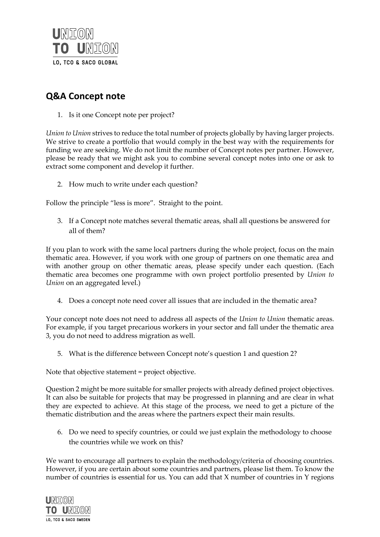

## **Q&A Concept note**

1. Is it one Concept note per project?

*Union to Union* strives to reduce the total number of projects globally by having larger projects. We strive to create a portfolio that would comply in the best way with the requirements for funding we are seeking. We do not limit the number of Concept notes per partner. However, please be ready that we might ask you to combine several concept notes into one or ask to extract some component and develop it further.

2. How much to write under each question?

Follow the principle "less is more". Straight to the point.

3. If a Concept note matches several thematic areas, shall all questions be answered for all of them?

If you plan to work with the same local partners during the whole project, focus on the main thematic area. However, if you work with one group of partners on one thematic area and with another group on other thematic areas, please specify under each question. (Each thematic area becomes one programme with own project portfolio presented by *Union to Union* on an aggregated level.)

4. Does a concept note need cover all issues that are included in the thematic area?

Your concept note does not need to address all aspects of the *Union to Union* thematic areas. For example, if you target precarious workers in your sector and fall under the thematic area 3, you do not need to address migration as well.

5. What is the difference between Concept note's question 1 and question 2?

Note that objective statement = project objective.

Question 2 might be more suitable for smaller projects with already defined project objectives. It can also be suitable for projects that may be progressed in planning and are clear in what they are expected to achieve. At this stage of the process, we need to get a picture of the thematic distribution and the areas where the partners expect their main results.

6. Do we need to specify countries, or could we just explain the methodology to choose the countries while we work on this?

We want to encourage all partners to explain the methodology/criteria of choosing countries. However, if you are certain about some countries and partners, please list them. To know the number of countries is essential for us. You can add that X number of countries in Y regions